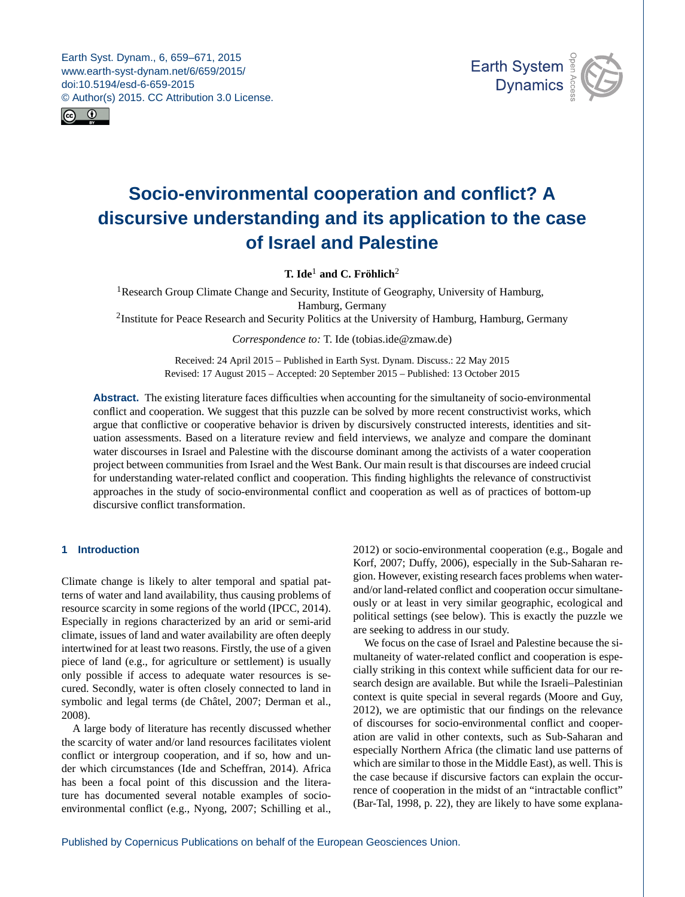<span id="page-0-1"></span>Earth Syst. Dynam., 6, 659–671, 2015 www.earth-syst-dynam.net/6/659/2015/ doi:10.5194/esd-6-659-2015 © Author(s) 2015. CC Attribution 3.0 License.





# **Socio-environmental cooperation and conflict? A discursive understanding and its application to the case of Israel and Palestine**

**T. Ide**[1](#page-0-0) **and C. Fröhlich**[2](#page-0-0)

<sup>1</sup>Research Group Climate Change and Security, Institute of Geography, University of Hamburg, Hamburg, Germany

<sup>2</sup>Institute for Peace Research and Security Politics at the University of Hamburg, Hamburg, Germany

*Correspondence to:* T. Ide (tobias.ide@zmaw.de)

Received: 24 April 2015 – Published in Earth Syst. Dynam. Discuss.: 22 May 2015 Revised: 17 August 2015 – Accepted: 20 September 2015 – Published: 13 October 2015

**Abstract.** The existing literature faces difficulties when accounting for the simultaneity of socio-environmental conflict and cooperation. We suggest that this puzzle can be solved by more recent constructivist works, which argue that conflictive or cooperative behavior is driven by discursively constructed interests, identities and situation assessments. Based on a literature review and field interviews, we analyze and compare the dominant water discourses in Israel and Palestine with the discourse dominant among the activists of a water cooperation project between communities from Israel and the West Bank. Our main result is that discourses are indeed crucial for understanding water-related conflict and cooperation. This finding highlights the relevance of constructivist approaches in the study of socio-environmental conflict and cooperation as well as of practices of bottom-up discursive conflict transformation.

# <span id="page-0-0"></span>**1 Introduction**

Climate change is likely to alter temporal and spatial patterns of water and land availability, thus causing problems of resource scarcity in some regions of the world (IPCC, 2014). Especially in regions characterized by an arid or semi-arid climate, issues of land and water availability are often deeply intertwined for at least two reasons. Firstly, the use of a given piece of land (e.g., for agriculture or settlement) is usually only possible if access to adequate water resources is secured. Secondly, water is often closely connected to land in symbolic and legal terms (de Châtel, 2007; Derman et al., 2008).

A large body of literature has recently discussed whether the scarcity of water and/or land resources facilitates violent conflict or intergroup cooperation, and if so, how and under which circumstances (Ide and Scheffran, 2014). Africa has been a focal point of this discussion and the literature has documented several notable examples of socioenvironmental conflict (e.g., Nyong, 2007; Schilling et al.,

2012) or socio-environmental cooperation (e.g., Bogale and Korf, 2007; Duffy, 2006), especially in the Sub-Saharan region. However, existing research faces problems when waterand/or land-related conflict and cooperation occur simultaneously or at least in very similar geographic, ecological and political settings (see below). This is exactly the puzzle we are seeking to address in our study.

We focus on the case of Israel and Palestine because the simultaneity of water-related conflict and cooperation is especially striking in this context while sufficient data for our research design are available. But while the Israeli–Palestinian context is quite special in several regards (Moore and Guy, 2012), we are optimistic that our findings on the relevance of discourses for socio-environmental conflict and cooperation are valid in other contexts, such as Sub-Saharan and especially Northern Africa (the climatic land use patterns of which are similar to those in the Middle East), as well. This is the case because if discursive factors can explain the occurrence of cooperation in the midst of an "intractable conflict" (Bar-Tal, 1998, p. 22), they are likely to have some explana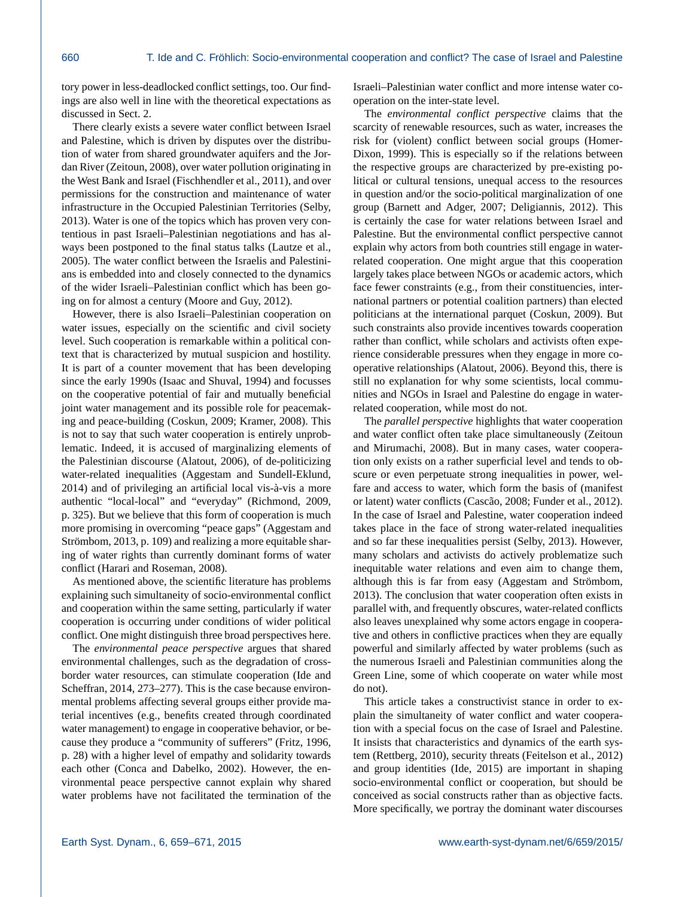tory power in less-deadlocked conflict settings, too. Our findings are also well in line with the theoretical expectations as discussed in Sect. 2.

There clearly exists a severe water conflict between Israel and Palestine, which is driven by disputes over the distribution of water from shared groundwater aquifers and the Jordan River (Zeitoun, 2008), over water pollution originating in the West Bank and Israel (Fischhendler et al., 2011), and over permissions for the construction and maintenance of water infrastructure in the Occupied Palestinian Territories (Selby, 2013). Water is one of the topics which has proven very contentious in past Israeli–Palestinian negotiations and has always been postponed to the final status talks (Lautze et al., 2005). The water conflict between the Israelis and Palestinians is embedded into and closely connected to the dynamics of the wider Israeli–Palestinian conflict which has been going on for almost a century (Moore and Guy, 2012).

However, there is also Israeli–Palestinian cooperation on water issues, especially on the scientific and civil society level. Such cooperation is remarkable within a political context that is characterized by mutual suspicion and hostility. It is part of a counter movement that has been developing since the early 1990s (Isaac and Shuval, 1994) and focusses on the cooperative potential of fair and mutually beneficial joint water management and its possible role for peacemaking and peace-building (Coskun, 2009; Kramer, 2008). This is not to say that such water cooperation is entirely unproblematic. Indeed, it is accused of marginalizing elements of the Palestinian discourse (Alatout, 2006), of de-politicizing water-related inequalities (Aggestam and Sundell-Eklund, 2014) and of privileging an artificial local vis-à-vis a more authentic "local-local" and "everyday" (Richmond, 2009, p. 325). But we believe that this form of cooperation is much more promising in overcoming "peace gaps" (Aggestam and Strömbom, 2013, p. 109) and realizing a more equitable sharing of water rights than currently dominant forms of water conflict (Harari and Roseman, 2008).

As mentioned above, the scientific literature has problems explaining such simultaneity of socio-environmental conflict and cooperation within the same setting, particularly if water cooperation is occurring under conditions of wider political conflict. One might distinguish three broad perspectives here.

The *environmental peace perspective* argues that shared environmental challenges, such as the degradation of crossborder water resources, can stimulate cooperation (Ide and Scheffran, 2014, 273–277). This is the case because environmental problems affecting several groups either provide material incentives (e.g., benefits created through coordinated water management) to engage in cooperative behavior, or because they produce a "community of sufferers" (Fritz, 1996, p. 28) with a higher level of empathy and solidarity towards each other (Conca and Dabelko, 2002). However, the environmental peace perspective cannot explain why shared water problems have not facilitated the termination of the Israeli–Palestinian water conflict and more intense water cooperation on the inter-state level.

The *environmental conflict perspective* claims that the scarcity of renewable resources, such as water, increases the risk for (violent) conflict between social groups (Homer-Dixon, 1999). This is especially so if the relations between the respective groups are characterized by pre-existing political or cultural tensions, unequal access to the resources in question and/or the socio-political marginalization of one group (Barnett and Adger, 2007; Deligiannis, 2012). This is certainly the case for water relations between Israel and Palestine. But the environmental conflict perspective cannot explain why actors from both countries still engage in waterrelated cooperation. One might argue that this cooperation largely takes place between NGOs or academic actors, which face fewer constraints (e.g., from their constituencies, international partners or potential coalition partners) than elected politicians at the international parquet (Coskun, 2009). But such constraints also provide incentives towards cooperation rather than conflict, while scholars and activists often experience considerable pressures when they engage in more cooperative relationships (Alatout, 2006). Beyond this, there is still no explanation for why some scientists, local communities and NGOs in Israel and Palestine do engage in waterrelated cooperation, while most do not.

The *parallel perspective* highlights that water cooperation and water conflict often take place simultaneously (Zeitoun and Mirumachi, 2008). But in many cases, water cooperation only exists on a rather superficial level and tends to obscure or even perpetuate strong inequalities in power, welfare and access to water, which form the basis of (manifest or latent) water conflicts (Cascão, 2008; Funder et al., 2012). In the case of Israel and Palestine, water cooperation indeed takes place in the face of strong water-related inequalities and so far these inequalities persist (Selby, 2013). However, many scholars and activists do actively problematize such inequitable water relations and even aim to change them, although this is far from easy (Aggestam and Strömbom, 2013). The conclusion that water cooperation often exists in parallel with, and frequently obscures, water-related conflicts also leaves unexplained why some actors engage in cooperative and others in conflictive practices when they are equally powerful and similarly affected by water problems (such as the numerous Israeli and Palestinian communities along the Green Line, some of which cooperate on water while most do not).

This article takes a constructivist stance in order to explain the simultaneity of water conflict and water cooperation with a special focus on the case of Israel and Palestine. It insists that characteristics and dynamics of the earth system (Rettberg, 2010), security threats (Feitelson et al., 2012) and group identities (Ide, 2015) are important in shaping socio-environmental conflict or cooperation, but should be conceived as social constructs rather than as objective facts. More specifically, we portray the dominant water discourses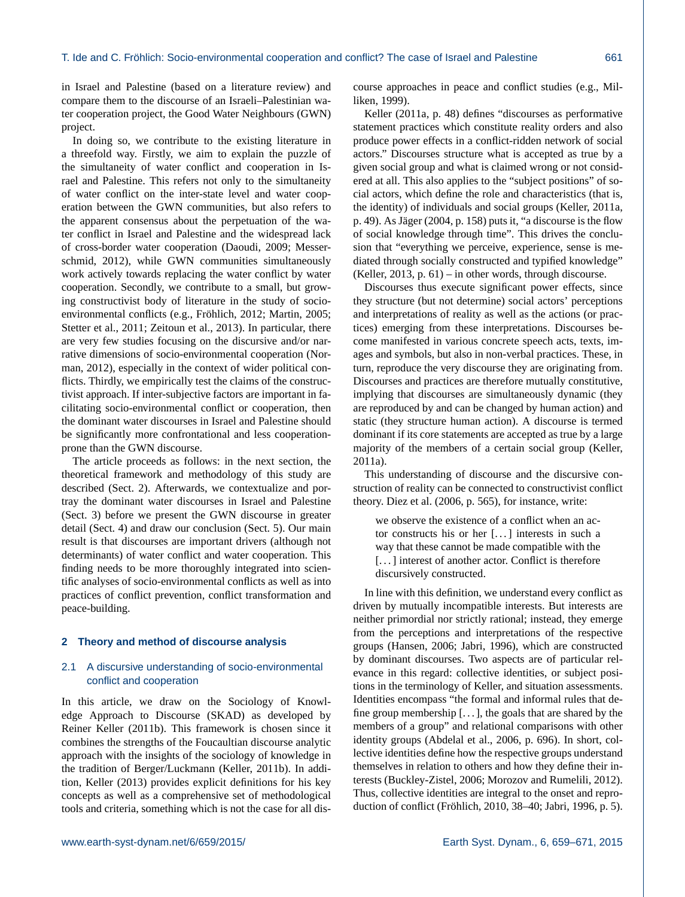in Israel and Palestine (based on a literature review) and compare them to the discourse of an Israeli–Palestinian water cooperation project, the Good Water Neighbours (GWN) project.

In doing so, we contribute to the existing literature in a threefold way. Firstly, we aim to explain the puzzle of the simultaneity of water conflict and cooperation in Israel and Palestine. This refers not only to the simultaneity of water conflict on the inter-state level and water cooperation between the GWN communities, but also refers to the apparent consensus about the perpetuation of the water conflict in Israel and Palestine and the widespread lack of cross-border water cooperation (Daoudi, 2009; Messerschmid, 2012), while GWN communities simultaneously work actively towards replacing the water conflict by water cooperation. Secondly, we contribute to a small, but growing constructivist body of literature in the study of socioenvironmental conflicts (e.g., Fröhlich, 2012; Martin, 2005; Stetter et al., 2011; Zeitoun et al., 2013). In particular, there are very few studies focusing on the discursive and/or narrative dimensions of socio-environmental cooperation (Norman, 2012), especially in the context of wider political conflicts. Thirdly, we empirically test the claims of the constructivist approach. If inter-subjective factors are important in facilitating socio-environmental conflict or cooperation, then the dominant water discourses in Israel and Palestine should be significantly more confrontational and less cooperationprone than the GWN discourse.

The article proceeds as follows: in the next section, the theoretical framework and methodology of this study are described (Sect. 2). Afterwards, we contextualize and portray the dominant water discourses in Israel and Palestine (Sect. 3) before we present the GWN discourse in greater detail (Sect. 4) and draw our conclusion (Sect. 5). Our main result is that discourses are important drivers (although not determinants) of water conflict and water cooperation. This finding needs to be more thoroughly integrated into scientific analyses of socio-environmental conflicts as well as into practices of conflict prevention, conflict transformation and peace-building.

#### **2 Theory and method of discourse analysis**

## 2.1 A discursive understanding of socio-environmental conflict and cooperation

In this article, we draw on the Sociology of Knowledge Approach to Discourse (SKAD) as developed by Reiner Keller (2011b). This framework is chosen since it combines the strengths of the Foucaultian discourse analytic approach with the insights of the sociology of knowledge in the tradition of Berger/Luckmann (Keller, 2011b). In addition, Keller (2013) provides explicit definitions for his key concepts as well as a comprehensive set of methodological tools and criteria, something which is not the case for all discourse approaches in peace and conflict studies (e.g., Milliken, 1999).

Keller (2011a, p. 48) defines "discourses as performative statement practices which constitute reality orders and also produce power effects in a conflict-ridden network of social actors." Discourses structure what is accepted as true by a given social group and what is claimed wrong or not considered at all. This also applies to the "subject positions" of social actors, which define the role and characteristics (that is, the identity) of individuals and social groups (Keller, 2011a, p. 49). As Jäger (2004, p. 158) puts it, "a discourse is the flow of social knowledge through time". This drives the conclusion that "everything we perceive, experience, sense is mediated through socially constructed and typified knowledge" (Keller, 2013, p. 61) – in other words, through discourse.

Discourses thus execute significant power effects, since they structure (but not determine) social actors' perceptions and interpretations of reality as well as the actions (or practices) emerging from these interpretations. Discourses become manifested in various concrete speech acts, texts, images and symbols, but also in non-verbal practices. These, in turn, reproduce the very discourse they are originating from. Discourses and practices are therefore mutually constitutive, implying that discourses are simultaneously dynamic (they are reproduced by and can be changed by human action) and static (they structure human action). A discourse is termed dominant if its core statements are accepted as true by a large majority of the members of a certain social group (Keller, 2011a).

This understanding of discourse and the discursive construction of reality can be connected to constructivist conflict theory. Diez et al. (2006, p. 565), for instance, write:

we observe the existence of a conflict when an actor constructs his or her [. . . ] interests in such a way that these cannot be made compatible with the [...] interest of another actor. Conflict is therefore discursively constructed.

In line with this definition, we understand every conflict as driven by mutually incompatible interests. But interests are neither primordial nor strictly rational; instead, they emerge from the perceptions and interpretations of the respective groups (Hansen, 2006; Jabri, 1996), which are constructed by dominant discourses. Two aspects are of particular relevance in this regard: collective identities, or subject positions in the terminology of Keller, and situation assessments. Identities encompass "the formal and informal rules that define group membership [. . . ], the goals that are shared by the members of a group" and relational comparisons with other identity groups (Abdelal et al., 2006, p. 696). In short, collective identities define how the respective groups understand themselves in relation to others and how they define their interests (Buckley-Zistel, 2006; Morozov and Rumelili, 2012). Thus, collective identities are integral to the onset and reproduction of conflict (Fröhlich, 2010, 38–40; Jabri, 1996, p. 5).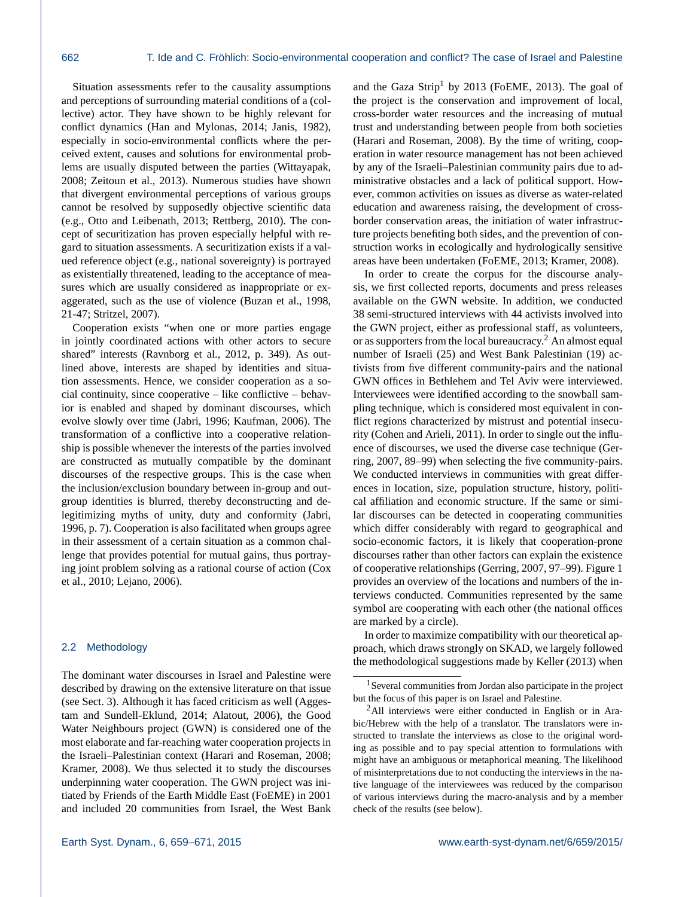Situation assessments refer to the causality assumptions and perceptions of surrounding material conditions of a (collective) actor. They have shown to be highly relevant for conflict dynamics (Han and Mylonas, 2014; Janis, 1982), especially in socio-environmental conflicts where the perceived extent, causes and solutions for environmental problems are usually disputed between the parties (Wittayapak, 2008; Zeitoun et al., 2013). Numerous studies have shown that divergent environmental perceptions of various groups cannot be resolved by supposedly objective scientific data (e.g., Otto and Leibenath, 2013; Rettberg, 2010). The concept of securitization has proven especially helpful with regard to situation assessments. A securitization exists if a valued reference object (e.g., national sovereignty) is portrayed as existentially threatened, leading to the acceptance of measures which are usually considered as inappropriate or exaggerated, such as the use of violence (Buzan et al., 1998, 21-47; Stritzel, 2007).

Cooperation exists "when one or more parties engage in jointly coordinated actions with other actors to secure shared" interests (Ravnborg et al., 2012, p. 349). As outlined above, interests are shaped by identities and situation assessments. Hence, we consider cooperation as a social continuity, since cooperative – like conflictive – behavior is enabled and shaped by dominant discourses, which evolve slowly over time (Jabri, 1996; Kaufman, 2006). The transformation of a conflictive into a cooperative relationship is possible whenever the interests of the parties involved are constructed as mutually compatible by the dominant discourses of the respective groups. This is the case when the inclusion/exclusion boundary between in-group and outgroup identities is blurred, thereby deconstructing and delegitimizing myths of unity, duty and conformity (Jabri, 1996, p. 7). Cooperation is also facilitated when groups agree in their assessment of a certain situation as a common challenge that provides potential for mutual gains, thus portraying joint problem solving as a rational course of action (Cox et al., 2010; Lejano, 2006).

## 2.2 Methodology

The dominant water discourses in Israel and Palestine were described by drawing on the extensive literature on that issue (see Sect. 3). Although it has faced criticism as well (Aggestam and Sundell-Eklund, 2014; Alatout, 2006), the Good Water Neighbours project (GWN) is considered one of the most elaborate and far-reaching water cooperation projects in the Israeli–Palestinian context (Harari and Roseman, 2008; Kramer, 2008). We thus selected it to study the discourses underpinning water cooperation. The GWN project was initiated by Friends of the Earth Middle East (FoEME) in 2001 and included 20 communities from Israel, the West Bank and the Gaza Strip<sup>1</sup> by 2013 (FoEME, 2013). The goal of the project is the conservation and improvement of local, cross-border water resources and the increasing of mutual trust and understanding between people from both societies (Harari and Roseman, 2008). By the time of writing, cooperation in water resource management has not been achieved by any of the Israeli–Palestinian community pairs due to administrative obstacles and a lack of political support. However, common activities on issues as diverse as water-related education and awareness raising, the development of crossborder conservation areas, the initiation of water infrastructure projects benefiting both sides, and the prevention of construction works in ecologically and hydrologically sensitive areas have been undertaken (FoEME, 2013; Kramer, 2008).

In order to create the corpus for the discourse analysis, we first collected reports, documents and press releases available on the GWN website. In addition, we conducted 38 semi-structured interviews with 44 activists involved into the GWN project, either as professional staff, as volunteers, or as supporters from the local bureaucracy.<sup>2</sup> An almost equal number of Israeli (25) and West Bank Palestinian (19) activists from five different community-pairs and the national GWN offices in Bethlehem and Tel Aviv were interviewed. Interviewees were identified according to the snowball sampling technique, which is considered most equivalent in conflict regions characterized by mistrust and potential insecurity (Cohen and Arieli, 2011). In order to single out the influence of discourses, we used the diverse case technique (Gerring, 2007, 89–99) when selecting the five community-pairs. We conducted interviews in communities with great differences in location, size, population structure, history, political affiliation and economic structure. If the same or similar discourses can be detected in cooperating communities which differ considerably with regard to geographical and socio-economic factors, it is likely that cooperation-prone discourses rather than other factors can explain the existence of cooperative relationships (Gerring, 2007, 97–99). Figure 1 provides an overview of the locations and numbers of the interviews conducted. Communities represented by the same symbol are cooperating with each other (the national offices are marked by a circle).

In order to maximize compatibility with our theoretical approach, which draws strongly on SKAD, we largely followed the methodological suggestions made by Keller (2013) when

<sup>&</sup>lt;sup>1</sup> Several communities from Jordan also participate in the project but the focus of this paper is on Israel and Palestine.

<sup>2</sup>All interviews were either conducted in English or in Arabic/Hebrew with the help of a translator. The translators were instructed to translate the interviews as close to the original wording as possible and to pay special attention to formulations with might have an ambiguous or metaphorical meaning. The likelihood of misinterpretations due to not conducting the interviews in the native language of the interviewees was reduced by the comparison of various interviews during the macro-analysis and by a member check of the results (see below).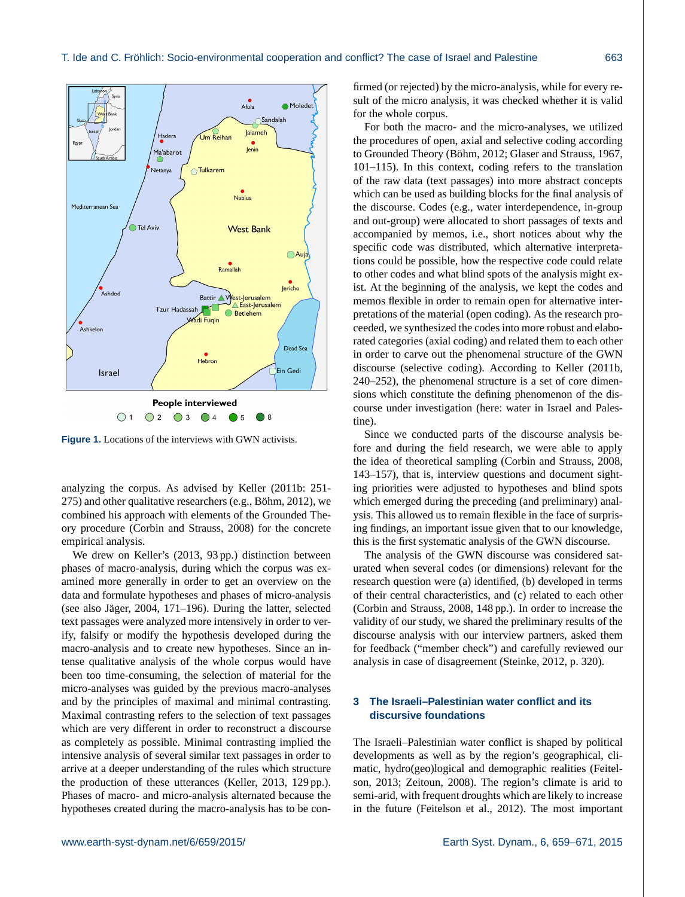

**Figure 1.** Locations of the interviews with GWN activists.

analyzing the corpus. As advised by Keller (2011b: 251- 275) and other qualitative researchers (e.g., Böhm, 2012), we combined his approach with elements of the Grounded Theory procedure (Corbin and Strauss, 2008) for the concrete empirical analysis.

We drew on Keller's (2013, 93 pp.) distinction between phases of macro-analysis, during which the corpus was examined more generally in order to get an overview on the data and formulate hypotheses and phases of micro-analysis (see also Jäger, 2004, 171–196). During the latter, selected text passages were analyzed more intensively in order to verify, falsify or modify the hypothesis developed during the macro-analysis and to create new hypotheses. Since an intense qualitative analysis of the whole corpus would have been too time-consuming, the selection of material for the micro-analyses was guided by the previous macro-analyses and by the principles of maximal and minimal contrasting. Maximal contrasting refers to the selection of text passages which are very different in order to reconstruct a discourse as completely as possible. Minimal contrasting implied the intensive analysis of several similar text passages in order to arrive at a deeper understanding of the rules which structure the production of these utterances (Keller, 2013, 129 pp.). Phases of macro- and micro-analysis alternated because the hypotheses created during the macro-analysis has to be con-

firmed (or rejected) by the micro-analysis, while for every result of the micro analysis, it was checked whether it is valid for the whole corpus.

For both the macro- and the micro-analyses, we utilized the procedures of open, axial and selective coding according to Grounded Theory (Böhm, 2012; Glaser and Strauss, 1967, 101–115). In this context, coding refers to the translation of the raw data (text passages) into more abstract concepts which can be used as building blocks for the final analysis of the discourse. Codes (e.g., water interdependence, in-group and out-group) were allocated to short passages of texts and accompanied by memos, i.e., short notices about why the specific code was distributed, which alternative interpretations could be possible, how the respective code could relate to other codes and what blind spots of the analysis might exist. At the beginning of the analysis, we kept the codes and memos flexible in order to remain open for alternative interpretations of the material (open coding). As the research proceeded, we synthesized the codes into more robust and elaborated categories (axial coding) and related them to each other in order to carve out the phenomenal structure of the GWN discourse (selective coding). According to Keller (2011b, 240–252), the phenomenal structure is a set of core dimensions which constitute the defining phenomenon of the discourse under investigation (here: water in Israel and Palestine).

Since we conducted parts of the discourse analysis before and during the field research, we were able to apply the idea of theoretical sampling (Corbin and Strauss, 2008, 143–157), that is, interview questions and document sighting priorities were adjusted to hypotheses and blind spots which emerged during the preceding (and preliminary) analysis. This allowed us to remain flexible in the face of surprising findings, an important issue given that to our knowledge, this is the first systematic analysis of the GWN discourse.

The analysis of the GWN discourse was considered saturated when several codes (or dimensions) relevant for the research question were (a) identified, (b) developed in terms of their central characteristics, and (c) related to each other (Corbin and Strauss, 2008, 148 pp.). In order to increase the validity of our study, we shared the preliminary results of the discourse analysis with our interview partners, asked them for feedback ("member check") and carefully reviewed our analysis in case of disagreement (Steinke, 2012, p. 320).

# **3 The Israeli–Palestinian water conflict and its discursive foundations**

The Israeli–Palestinian water conflict is shaped by political developments as well as by the region's geographical, climatic, hydro(geo)logical and demographic realities (Feitelson, 2013; Zeitoun, 2008). The region's climate is arid to semi-arid, with frequent droughts which are likely to increase in the future (Feitelson et al., 2012). The most important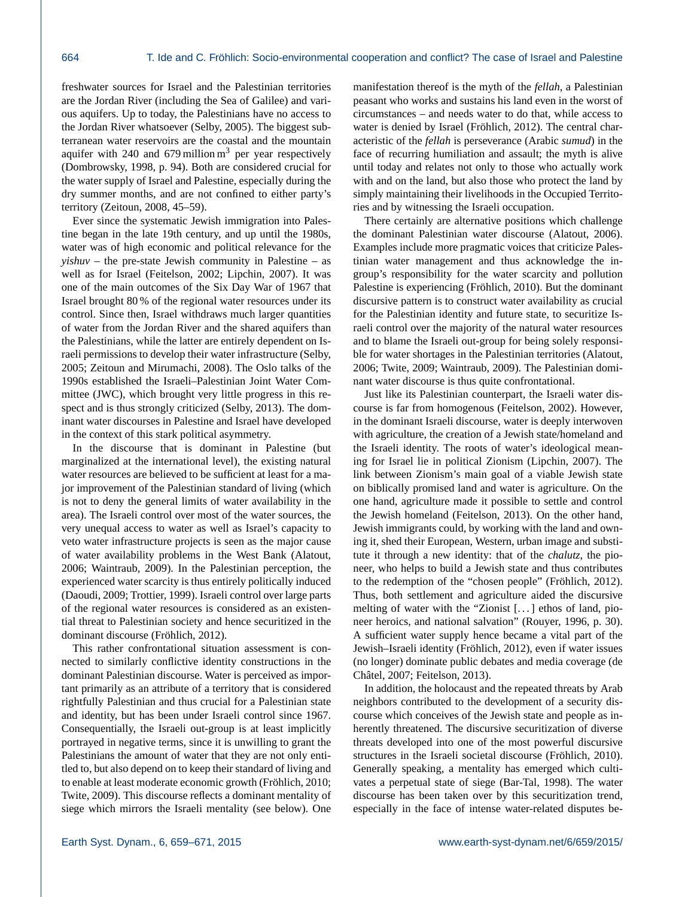freshwater sources for Israel and the Palestinian territories are the Jordan River (including the Sea of Galilee) and various aquifers. Up to today, the Palestinians have no access to the Jordan River whatsoever (Selby, 2005). The biggest subterranean water reservoirs are the coastal and the mountain aquifer with 240 and 679 million  $m<sup>3</sup>$  per year respectively (Dombrowsky, 1998, p. 94). Both are considered crucial for the water supply of Israel and Palestine, especially during the dry summer months, and are not confined to either party's territory (Zeitoun, 2008, 45–59).

Ever since the systematic Jewish immigration into Palestine began in the late 19th century, and up until the 1980s, water was of high economic and political relevance for the *yishuv* – the pre-state Jewish community in Palestine – as well as for Israel (Feitelson, 2002; Lipchin, 2007). It was one of the main outcomes of the Six Day War of 1967 that Israel brought 80 % of the regional water resources under its control. Since then, Israel withdraws much larger quantities of water from the Jordan River and the shared aquifers than the Palestinians, while the latter are entirely dependent on Israeli permissions to develop their water infrastructure (Selby, 2005; Zeitoun and Mirumachi, 2008). The Oslo talks of the 1990s established the Israeli–Palestinian Joint Water Committee (JWC), which brought very little progress in this respect and is thus strongly criticized (Selby, 2013). The dominant water discourses in Palestine and Israel have developed in the context of this stark political asymmetry.

In the discourse that is dominant in Palestine (but marginalized at the international level), the existing natural water resources are believed to be sufficient at least for a major improvement of the Palestinian standard of living (which is not to deny the general limits of water availability in the area). The Israeli control over most of the water sources, the very unequal access to water as well as Israel's capacity to veto water infrastructure projects is seen as the major cause of water availability problems in the West Bank (Alatout, 2006; Waintraub, 2009). In the Palestinian perception, the experienced water scarcity is thus entirely politically induced (Daoudi, 2009; Trottier, 1999). Israeli control over large parts of the regional water resources is considered as an existential threat to Palestinian society and hence securitized in the dominant discourse (Fröhlich, 2012).

This rather confrontational situation assessment is connected to similarly conflictive identity constructions in the dominant Palestinian discourse. Water is perceived as important primarily as an attribute of a territory that is considered rightfully Palestinian and thus crucial for a Palestinian state and identity, but has been under Israeli control since 1967. Consequentially, the Israeli out-group is at least implicitly portrayed in negative terms, since it is unwilling to grant the Palestinians the amount of water that they are not only entitled to, but also depend on to keep their standard of living and to enable at least moderate economic growth (Fröhlich, 2010; Twite, 2009). This discourse reflects a dominant mentality of siege which mirrors the Israeli mentality (see below). One manifestation thereof is the myth of the *fellah*, a Palestinian peasant who works and sustains his land even in the worst of circumstances – and needs water to do that, while access to water is denied by Israel (Fröhlich, 2012). The central characteristic of the *fellah* is perseverance (Arabic *sumud*) in the face of recurring humiliation and assault; the myth is alive until today and relates not only to those who actually work with and on the land, but also those who protect the land by simply maintaining their livelihoods in the Occupied Territories and by witnessing the Israeli occupation.

There certainly are alternative positions which challenge the dominant Palestinian water discourse (Alatout, 2006). Examples include more pragmatic voices that criticize Palestinian water management and thus acknowledge the ingroup's responsibility for the water scarcity and pollution Palestine is experiencing (Fröhlich, 2010). But the dominant discursive pattern is to construct water availability as crucial for the Palestinian identity and future state, to securitize Israeli control over the majority of the natural water resources and to blame the Israeli out-group for being solely responsible for water shortages in the Palestinian territories (Alatout, 2006; Twite, 2009; Waintraub, 2009). The Palestinian dominant water discourse is thus quite confrontational.

Just like its Palestinian counterpart, the Israeli water discourse is far from homogenous (Feitelson, 2002). However, in the dominant Israeli discourse, water is deeply interwoven with agriculture, the creation of a Jewish state/homeland and the Israeli identity. The roots of water's ideological meaning for Israel lie in political Zionism (Lipchin, 2007). The link between Zionism's main goal of a viable Jewish state on biblically promised land and water is agriculture. On the one hand, agriculture made it possible to settle and control the Jewish homeland (Feitelson, 2013). On the other hand, Jewish immigrants could, by working with the land and owning it, shed their European, Western, urban image and substitute it through a new identity: that of the *chalutz*, the pioneer, who helps to build a Jewish state and thus contributes to the redemption of the "chosen people" (Fröhlich, 2012). Thus, both settlement and agriculture aided the discursive melting of water with the "Zionist [. . . ] ethos of land, pioneer heroics, and national salvation" (Rouyer, 1996, p. 30). A sufficient water supply hence became a vital part of the Jewish–Israeli identity (Fröhlich, 2012), even if water issues (no longer) dominate public debates and media coverage (de Châtel, 2007; Feitelson, 2013).

In addition, the holocaust and the repeated threats by Arab neighbors contributed to the development of a security discourse which conceives of the Jewish state and people as inherently threatened. The discursive securitization of diverse threats developed into one of the most powerful discursive structures in the Israeli societal discourse (Fröhlich, 2010). Generally speaking, a mentality has emerged which cultivates a perpetual state of siege (Bar-Tal, 1998). The water discourse has been taken over by this securitization trend, especially in the face of intense water-related disputes be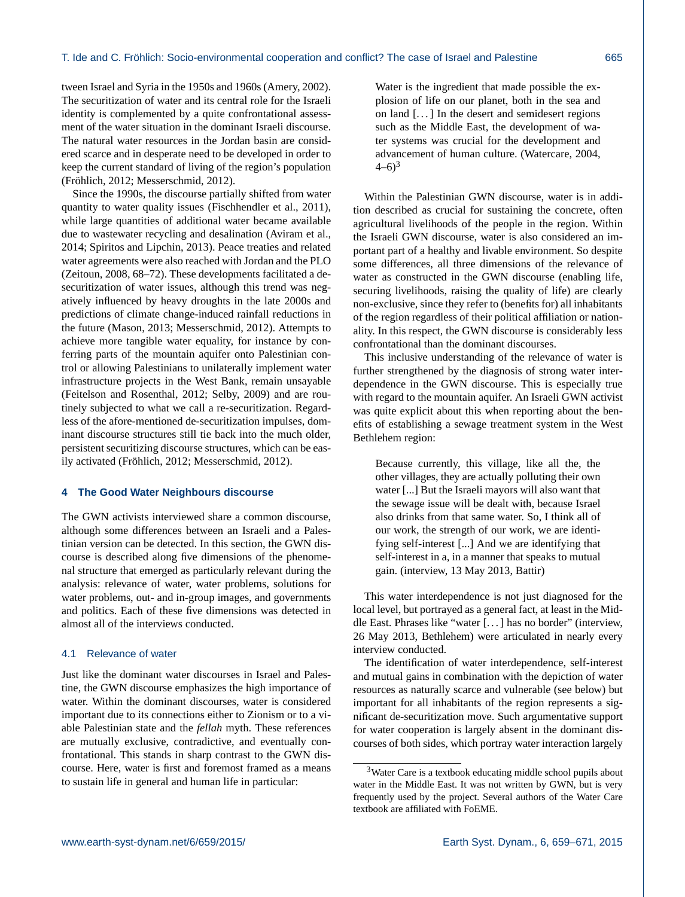tween Israel and Syria in the 1950s and 1960s (Amery, 2002). The securitization of water and its central role for the Israeli identity is complemented by a quite confrontational assessment of the water situation in the dominant Israeli discourse. The natural water resources in the Jordan basin are considered scarce and in desperate need to be developed in order to keep the current standard of living of the region's population (Fröhlich, 2012; Messerschmid, 2012).

Since the 1990s, the discourse partially shifted from water quantity to water quality issues (Fischhendler et al., 2011), while large quantities of additional water became available due to wastewater recycling and desalination (Aviram et al., 2014; Spiritos and Lipchin, 2013). Peace treaties and related water agreements were also reached with Jordan and the PLO (Zeitoun, 2008, 68–72). These developments facilitated a desecuritization of water issues, although this trend was negatively influenced by heavy droughts in the late 2000s and predictions of climate change-induced rainfall reductions in the future (Mason, 2013; Messerschmid, 2012). Attempts to achieve more tangible water equality, for instance by conferring parts of the mountain aquifer onto Palestinian control or allowing Palestinians to unilaterally implement water infrastructure projects in the West Bank, remain unsayable (Feitelson and Rosenthal, 2012; Selby, 2009) and are routinely subjected to what we call a re-securitization. Regardless of the afore-mentioned de-securitization impulses, dominant discourse structures still tie back into the much older, persistent securitizing discourse structures, which can be easily activated (Fröhlich, 2012; Messerschmid, 2012).

#### **4 The Good Water Neighbours discourse**

The GWN activists interviewed share a common discourse, although some differences between an Israeli and a Palestinian version can be detected. In this section, the GWN discourse is described along five dimensions of the phenomenal structure that emerged as particularly relevant during the analysis: relevance of water, water problems, solutions for water problems, out- and in-group images, and governments and politics. Each of these five dimensions was detected in almost all of the interviews conducted.

#### 4.1 Relevance of water

Just like the dominant water discourses in Israel and Palestine, the GWN discourse emphasizes the high importance of water. Within the dominant discourses, water is considered important due to its connections either to Zionism or to a viable Palestinian state and the *fellah* myth. These references are mutually exclusive, contradictive, and eventually confrontational. This stands in sharp contrast to the GWN discourse. Here, water is first and foremost framed as a means to sustain life in general and human life in particular:

Water is the ingredient that made possible the explosion of life on our planet, both in the sea and on land  $[\dots]$  In the desert and semidesert regions such as the Middle East, the development of water systems was crucial for the development and advancement of human culture. (Watercare, 2004,  $(-6)^3$ 

Within the Palestinian GWN discourse, water is in addition described as crucial for sustaining the concrete, often agricultural livelihoods of the people in the region. Within the Israeli GWN discourse, water is also considered an important part of a healthy and livable environment. So despite some differences, all three dimensions of the relevance of water as constructed in the GWN discourse (enabling life, securing livelihoods, raising the quality of life) are clearly non-exclusive, since they refer to (benefits for) all inhabitants of the region regardless of their political affiliation or nationality. In this respect, the GWN discourse is considerably less confrontational than the dominant discourses.

This inclusive understanding of the relevance of water is further strengthened by the diagnosis of strong water interdependence in the GWN discourse. This is especially true with regard to the mountain aquifer. An Israeli GWN activist was quite explicit about this when reporting about the benefits of establishing a sewage treatment system in the West Bethlehem region:

Because currently, this village, like all the, the other villages, they are actually polluting their own water [...] But the Israeli mayors will also want that the sewage issue will be dealt with, because Israel also drinks from that same water. So, I think all of our work, the strength of our work, we are identifying self-interest [...] And we are identifying that self-interest in a, in a manner that speaks to mutual gain. (interview, 13 May 2013, Battir)

This water interdependence is not just diagnosed for the local level, but portrayed as a general fact, at least in the Middle East. Phrases like "water [. . . ] has no border" (interview, 26 May 2013, Bethlehem) were articulated in nearly every interview conducted.

The identification of water interdependence, self-interest and mutual gains in combination with the depiction of water resources as naturally scarce and vulnerable (see below) but important for all inhabitants of the region represents a significant de-securitization move. Such argumentative support for water cooperation is largely absent in the dominant discourses of both sides, which portray water interaction largely

<sup>3</sup>Water Care is a textbook educating middle school pupils about water in the Middle East. It was not written by GWN, but is very frequently used by the project. Several authors of the Water Care textbook are affiliated with FoEME.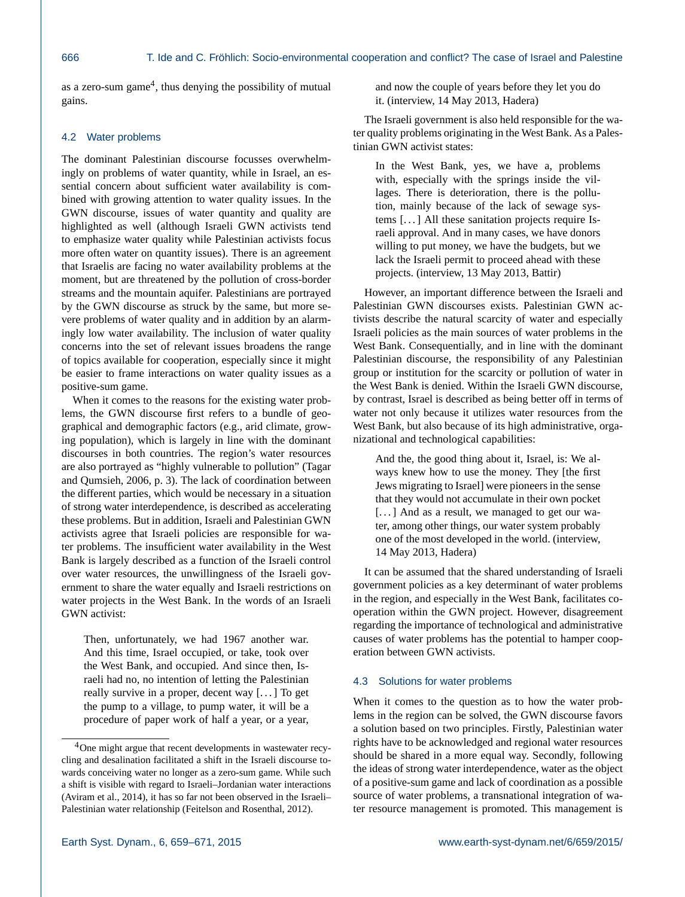as a zero-sum game<sup>4</sup>, thus denying the possibility of mutual gains.

#### 4.2 Water problems

The dominant Palestinian discourse focusses overwhelmingly on problems of water quantity, while in Israel, an essential concern about sufficient water availability is combined with growing attention to water quality issues. In the GWN discourse, issues of water quantity and quality are highlighted as well (although Israeli GWN activists tend to emphasize water quality while Palestinian activists focus more often water on quantity issues). There is an agreement that Israelis are facing no water availability problems at the moment, but are threatened by the pollution of cross-border streams and the mountain aquifer. Palestinians are portrayed by the GWN discourse as struck by the same, but more severe problems of water quality and in addition by an alarmingly low water availability. The inclusion of water quality concerns into the set of relevant issues broadens the range of topics available for cooperation, especially since it might be easier to frame interactions on water quality issues as a positive-sum game.

When it comes to the reasons for the existing water problems, the GWN discourse first refers to a bundle of geographical and demographic factors (e.g., arid climate, growing population), which is largely in line with the dominant discourses in both countries. The region's water resources are also portrayed as "highly vulnerable to pollution" (Tagar and Qumsieh, 2006, p. 3). The lack of coordination between the different parties, which would be necessary in a situation of strong water interdependence, is described as accelerating these problems. But in addition, Israeli and Palestinian GWN activists agree that Israeli policies are responsible for water problems. The insufficient water availability in the West Bank is largely described as a function of the Israeli control over water resources, the unwillingness of the Israeli government to share the water equally and Israeli restrictions on water projects in the West Bank. In the words of an Israeli GWN activist:

Then, unfortunately, we had 1967 another war. And this time, Israel occupied, or take, took over the West Bank, and occupied. And since then, Israeli had no, no intention of letting the Palestinian really survive in a proper, decent way [. . . ] To get the pump to a village, to pump water, it will be a procedure of paper work of half a year, or a year, and now the couple of years before they let you do it. (interview, 14 May 2013, Hadera)

The Israeli government is also held responsible for the water quality problems originating in the West Bank. As a Palestinian GWN activist states:

In the West Bank, yes, we have a, problems with, especially with the springs inside the villages. There is deterioration, there is the pollution, mainly because of the lack of sewage systems [. . . ] All these sanitation projects require Israeli approval. And in many cases, we have donors willing to put money, we have the budgets, but we lack the Israeli permit to proceed ahead with these projects. (interview, 13 May 2013, Battir)

However, an important difference between the Israeli and Palestinian GWN discourses exists. Palestinian GWN activists describe the natural scarcity of water and especially Israeli policies as the main sources of water problems in the West Bank. Consequentially, and in line with the dominant Palestinian discourse, the responsibility of any Palestinian group or institution for the scarcity or pollution of water in the West Bank is denied. Within the Israeli GWN discourse, by contrast, Israel is described as being better off in terms of water not only because it utilizes water resources from the West Bank, but also because of its high administrative, organizational and technological capabilities:

And the, the good thing about it, Israel, is: We always knew how to use the money. They [the first Jews migrating to Israel] were pioneers in the sense that they would not accumulate in their own pocket [...] And as a result, we managed to get our water, among other things, our water system probably one of the most developed in the world. (interview, 14 May 2013, Hadera)

It can be assumed that the shared understanding of Israeli government policies as a key determinant of water problems in the region, and especially in the West Bank, facilitates cooperation within the GWN project. However, disagreement regarding the importance of technological and administrative causes of water problems has the potential to hamper cooperation between GWN activists.

# 4.3 Solutions for water problems

When it comes to the question as to how the water problems in the region can be solved, the GWN discourse favors a solution based on two principles. Firstly, Palestinian water rights have to be acknowledged and regional water resources should be shared in a more equal way. Secondly, following the ideas of strong water interdependence, water as the object of a positive-sum game and lack of coordination as a possible source of water problems, a transnational integration of water resource management is promoted. This management is

<sup>4</sup>One might argue that recent developments in wastewater recycling and desalination facilitated a shift in the Israeli discourse towards conceiving water no longer as a zero-sum game. While such a shift is visible with regard to Israeli–Jordanian water interactions (Aviram et al., 2014), it has so far not been observed in the Israeli– Palestinian water relationship (Feitelson and Rosenthal, 2012).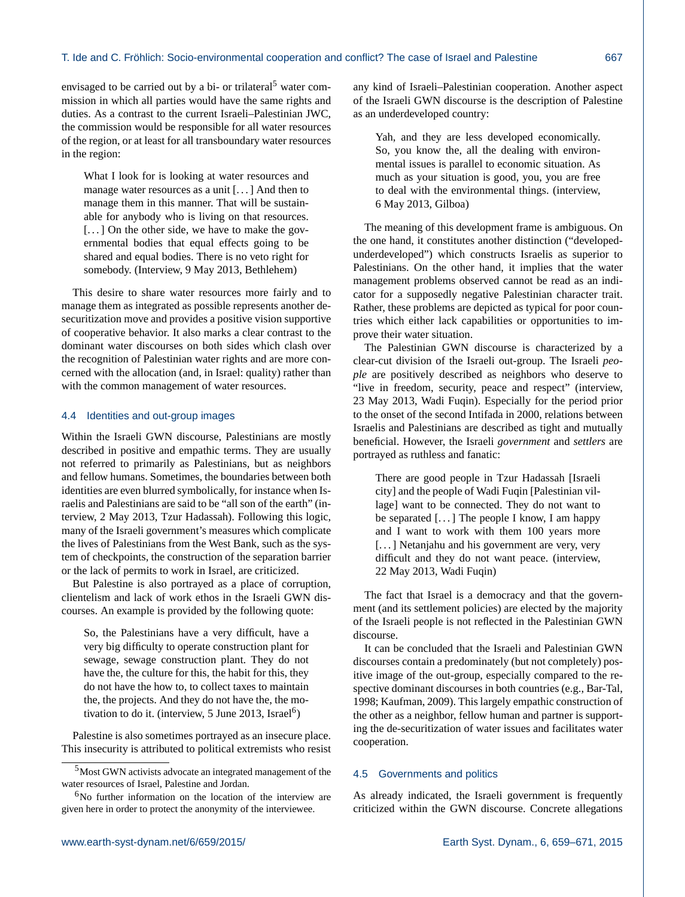envisaged to be carried out by a bi- or trilateral<sup>5</sup> water commission in which all parties would have the same rights and duties. As a contrast to the current Israeli–Palestinian JWC, the commission would be responsible for all water resources of the region, or at least for all transboundary water resources in the region:

What I look for is looking at water resources and manage water resources as a unit [. . . ] And then to manage them in this manner. That will be sustainable for anybody who is living on that resources. [...] On the other side, we have to make the governmental bodies that equal effects going to be shared and equal bodies. There is no veto right for somebody. (Interview, 9 May 2013, Bethlehem)

This desire to share water resources more fairly and to manage them as integrated as possible represents another desecuritization move and provides a positive vision supportive of cooperative behavior. It also marks a clear contrast to the dominant water discourses on both sides which clash over the recognition of Palestinian water rights and are more concerned with the allocation (and, in Israel: quality) rather than with the common management of water resources.

#### 4.4 Identities and out-group images

Within the Israeli GWN discourse, Palestinians are mostly described in positive and empathic terms. They are usually not referred to primarily as Palestinians, but as neighbors and fellow humans. Sometimes, the boundaries between both identities are even blurred symbolically, for instance when Israelis and Palestinians are said to be "all son of the earth" (interview, 2 May 2013, Tzur Hadassah). Following this logic, many of the Israeli government's measures which complicate the lives of Palestinians from the West Bank, such as the system of checkpoints, the construction of the separation barrier or the lack of permits to work in Israel, are criticized.

But Palestine is also portrayed as a place of corruption, clientelism and lack of work ethos in the Israeli GWN discourses. An example is provided by the following quote:

So, the Palestinians have a very difficult, have a very big difficulty to operate construction plant for sewage, sewage construction plant. They do not have the, the culture for this, the habit for this, they do not have the how to, to collect taxes to maintain the, the projects. And they do not have the, the motivation to do it. (interview, 5 June 2013, Israel<sup>6</sup>)

Palestine is also sometimes portrayed as an insecure place. This insecurity is attributed to political extremists who resist any kind of Israeli–Palestinian cooperation. Another aspect of the Israeli GWN discourse is the description of Palestine as an underdeveloped country:

Yah, and they are less developed economically. So, you know the, all the dealing with environmental issues is parallel to economic situation. As much as your situation is good, you, you are free to deal with the environmental things. (interview, 6 May 2013, Gilboa)

The meaning of this development frame is ambiguous. On the one hand, it constitutes another distinction ("developedunderdeveloped") which constructs Israelis as superior to Palestinians. On the other hand, it implies that the water management problems observed cannot be read as an indicator for a supposedly negative Palestinian character trait. Rather, these problems are depicted as typical for poor countries which either lack capabilities or opportunities to improve their water situation.

The Palestinian GWN discourse is characterized by a clear-cut division of the Israeli out-group. The Israeli *people* are positively described as neighbors who deserve to "live in freedom, security, peace and respect" (interview, 23 May 2013, Wadi Fuqin). Especially for the period prior to the onset of the second Intifada in 2000, relations between Israelis and Palestinians are described as tight and mutually beneficial. However, the Israeli *government* and *settlers* are portrayed as ruthless and fanatic:

There are good people in Tzur Hadassah [Israeli city] and the people of Wadi Fuqin [Palestinian village] want to be connected. They do not want to be separated [...] The people I know, I am happy and I want to work with them 100 years more [...] Netanjahu and his government are very, very difficult and they do not want peace. (interview, 22 May 2013, Wadi Fuqin)

The fact that Israel is a democracy and that the government (and its settlement policies) are elected by the majority of the Israeli people is not reflected in the Palestinian GWN discourse.

It can be concluded that the Israeli and Palestinian GWN discourses contain a predominately (but not completely) positive image of the out-group, especially compared to the respective dominant discourses in both countries (e.g., Bar-Tal, 1998; Kaufman, 2009). This largely empathic construction of the other as a neighbor, fellow human and partner is supporting the de-securitization of water issues and facilitates water cooperation.

#### 4.5 Governments and politics

As already indicated, the Israeli government is frequently criticized within the GWN discourse. Concrete allegations

<sup>5</sup>Most GWN activists advocate an integrated management of the water resources of Israel, Palestine and Jordan.

 $6$ No further information on the location of the interview are given here in order to protect the anonymity of the interviewee.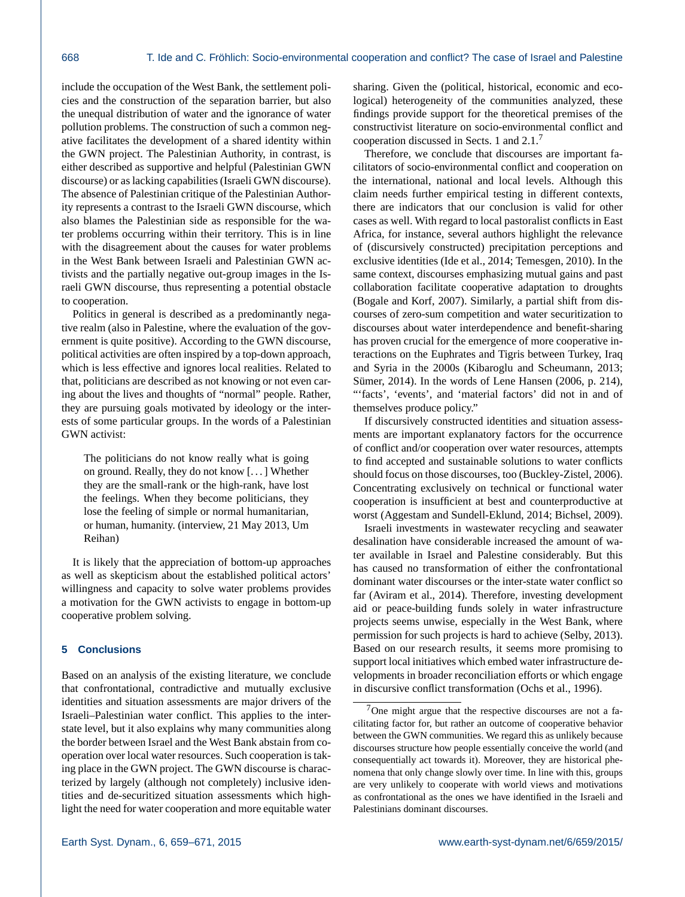include the occupation of the West Bank, the settlement policies and the construction of the separation barrier, but also the unequal distribution of water and the ignorance of water pollution problems. The construction of such a common negative facilitates the development of a shared identity within the GWN project. The Palestinian Authority, in contrast, is either described as supportive and helpful (Palestinian GWN discourse) or as lacking capabilities (Israeli GWN discourse). The absence of Palestinian critique of the Palestinian Authority represents a contrast to the Israeli GWN discourse, which also blames the Palestinian side as responsible for the water problems occurring within their territory. This is in line with the disagreement about the causes for water problems in the West Bank between Israeli and Palestinian GWN activists and the partially negative out-group images in the Israeli GWN discourse, thus representing a potential obstacle to cooperation.

Politics in general is described as a predominantly negative realm (also in Palestine, where the evaluation of the government is quite positive). According to the GWN discourse, political activities are often inspired by a top-down approach, which is less effective and ignores local realities. Related to that, politicians are described as not knowing or not even caring about the lives and thoughts of "normal" people. Rather, they are pursuing goals motivated by ideology or the interests of some particular groups. In the words of a Palestinian GWN activist:

The politicians do not know really what is going on ground. Really, they do not know [. . . ] Whether they are the small-rank or the high-rank, have lost the feelings. When they become politicians, they lose the feeling of simple or normal humanitarian, or human, humanity. (interview, 21 May 2013, Um Reihan)

It is likely that the appreciation of bottom-up approaches as well as skepticism about the established political actors' willingness and capacity to solve water problems provides a motivation for the GWN activists to engage in bottom-up cooperative problem solving.

#### **5 Conclusions**

Based on an analysis of the existing literature, we conclude that confrontational, contradictive and mutually exclusive identities and situation assessments are major drivers of the Israeli–Palestinian water conflict. This applies to the interstate level, but it also explains why many communities along the border between Israel and the West Bank abstain from cooperation over local water resources. Such cooperation is taking place in the GWN project. The GWN discourse is characterized by largely (although not completely) inclusive identities and de-securitized situation assessments which highlight the need for water cooperation and more equitable water sharing. Given the (political, historical, economic and ecological) heterogeneity of the communities analyzed, these findings provide support for the theoretical premises of the constructivist literature on socio-environmental conflict and cooperation discussed in Sects. 1 and 2.1.<sup>7</sup>

Therefore, we conclude that discourses are important facilitators of socio-environmental conflict and cooperation on the international, national and local levels. Although this claim needs further empirical testing in different contexts, there are indicators that our conclusion is valid for other cases as well. With regard to local pastoralist conflicts in East Africa, for instance, several authors highlight the relevance of (discursively constructed) precipitation perceptions and exclusive identities (Ide et al., 2014; Temesgen, 2010). In the same context, discourses emphasizing mutual gains and past collaboration facilitate cooperative adaptation to droughts (Bogale and Korf, 2007). Similarly, a partial shift from discourses of zero-sum competition and water securitization to discourses about water interdependence and benefit-sharing has proven crucial for the emergence of more cooperative interactions on the Euphrates and Tigris between Turkey, Iraq and Syria in the 2000s (Kibaroglu and Scheumann, 2013; Sümer, 2014). In the words of Lene Hansen (2006, p. 214), "'facts', 'events', and 'material factors' did not in and of themselves produce policy."

If discursively constructed identities and situation assessments are important explanatory factors for the occurrence of conflict and/or cooperation over water resources, attempts to find accepted and sustainable solutions to water conflicts should focus on those discourses, too (Buckley-Zistel, 2006). Concentrating exclusively on technical or functional water cooperation is insufficient at best and counterproductive at worst (Aggestam and Sundell-Eklund, 2014; Bichsel, 2009).

Israeli investments in wastewater recycling and seawater desalination have considerable increased the amount of water available in Israel and Palestine considerably. But this has caused no transformation of either the confrontational dominant water discourses or the inter-state water conflict so far (Aviram et al., 2014). Therefore, investing development aid or peace-building funds solely in water infrastructure projects seems unwise, especially in the West Bank, where permission for such projects is hard to achieve (Selby, 2013). Based on our research results, it seems more promising to support local initiatives which embed water infrastructure developments in broader reconciliation efforts or which engage in discursive conflict transformation (Ochs et al., 1996).

 $7$ One might argue that the respective discourses are not a facilitating factor for, but rather an outcome of cooperative behavior between the GWN communities. We regard this as unlikely because discourses structure how people essentially conceive the world (and consequentially act towards it). Moreover, they are historical phenomena that only change slowly over time. In line with this, groups are very unlikely to cooperate with world views and motivations as confrontational as the ones we have identified in the Israeli and Palestinians dominant discourses.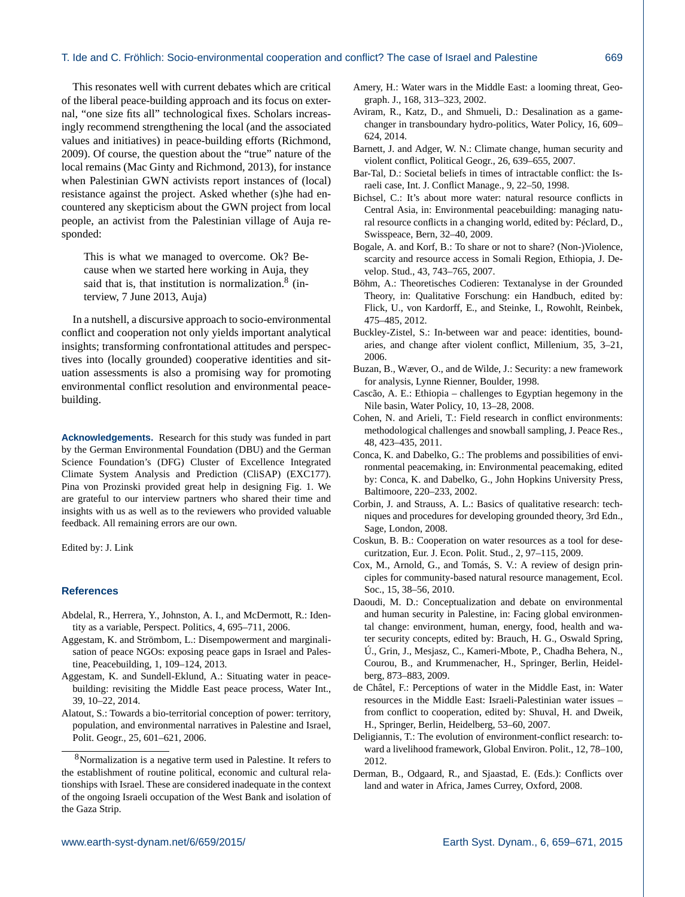#### T. Ide and C. Fröhlich: Socio-environmental cooperation and conflict? The case of Israel and Palestine 669

This resonates well with current debates which are critical of the liberal peace-building approach and its focus on external, "one size fits all" technological fixes. Scholars increasingly recommend strengthening the local (and the associated values and initiatives) in peace-building efforts (Richmond, 2009). Of course, the question about the "true" nature of the local remains (Mac Ginty and Richmond, 2013), for instance when Palestinian GWN activists report instances of (local) resistance against the project. Asked whether (s)he had encountered any skepticism about the GWN project from local people, an activist from the Palestinian village of Auja responded:

This is what we managed to overcome. Ok? Because when we started here working in Auja, they said that is, that institution is normalization. $8$  (interview, 7 June 2013, Auja)

In a nutshell, a discursive approach to socio-environmental conflict and cooperation not only yields important analytical insights; transforming confrontational attitudes and perspectives into (locally grounded) cooperative identities and situation assessments is also a promising way for promoting environmental conflict resolution and environmental peacebuilding.

**Acknowledgements.** Research for this study was funded in part by the German Environmental Foundation (DBU) and the German Science Foundation's (DFG) Cluster of Excellence Integrated Climate System Analysis and Prediction (CliSAP) (EXC177). Pina von Prozinski provided great help in designing Fig. 1. We are grateful to our interview partners who shared their time and insights with us as well as to the reviewers who provided valuable feedback. All remaining errors are our own.

Edited by: J. Link

#### **References**

- Abdelal, R., Herrera, Y., Johnston, A. I., and McDermott, R.: Identity as a variable, Perspect. Politics, 4, 695–711, 2006.
- Aggestam, K. and Strömbom, L.: Disempowerment and marginalisation of peace NGOs: exposing peace gaps in Israel and Palestine, Peacebuilding, 1, 109–124, 2013.
- Aggestam, K. and Sundell-Eklund, A.: Situating water in peacebuilding: revisiting the Middle East peace process, Water Int., 39, 10–22, 2014.
- Alatout, S.: Towards a bio-territorial conception of power: territory, population, and environmental narratives in Palestine and Israel, Polit. Geogr., 25, 601–621, 2006.
- Amery, H.: Water wars in the Middle East: a looming threat, Geograph. J., 168, 313–323, 2002.
- Aviram, R., Katz, D., and Shmueli, D.: Desalination as a gamechanger in transboundary hydro-politics, Water Policy, 16, 609– 624, 2014.
- Barnett, J. and Adger, W. N.: Climate change, human security and violent conflict, Political Geogr., 26, 639–655, 2007.
- Bar-Tal, D.: Societal beliefs in times of intractable conflict: the Israeli case, Int. J. Conflict Manage., 9, 22–50, 1998.
- Bichsel, C.: It's about more water: natural resource conflicts in Central Asia, in: Environmental peacebuilding: managing natural resource conflicts in a changing world, edited by: Péclard, D., Swisspeace, Bern, 32–40, 2009.
- Bogale, A. and Korf, B.: To share or not to share? (Non-)Violence, scarcity and resource access in Somali Region, Ethiopia, J. Develop. Stud., 43, 743–765, 2007.
- Böhm, A.: Theoretisches Codieren: Textanalyse in der Grounded Theory, in: Qualitative Forschung: ein Handbuch, edited by: Flick, U., von Kardorff, E., and Steinke, I., Rowohlt, Reinbek, 475–485, 2012.
- Buckley-Zistel, S.: In-between war and peace: identities, boundaries, and change after violent conflict, Millenium, 35, 3–21, 2006.
- Buzan, B., Wæver, O., and de Wilde, J.: Security: a new framework for analysis, Lynne Rienner, Boulder, 1998.
- Cascão, A. E.: Ethiopia challenges to Egyptian hegemony in the Nile basin, Water Policy, 10, 13–28, 2008.
- Cohen, N. and Arieli, T.: Field research in conflict environments: methodological challenges and snowball sampling, J. Peace Res., 48, 423–435, 2011.
- Conca, K. and Dabelko, G.: The problems and possibilities of environmental peacemaking, in: Environmental peacemaking, edited by: Conca, K. and Dabelko, G., John Hopkins University Press, Baltimoore, 220–233, 2002.
- Corbin, J. and Strauss, A. L.: Basics of qualitative research: techniques and procedures for developing grounded theory, 3rd Edn., Sage, London, 2008.
- Coskun, B. B.: Cooperation on water resources as a tool for desecuritzation, Eur. J. Econ. Polit. Stud., 2, 97–115, 2009.
- Cox, M., Arnold, G., and Tomás, S. V.: A review of design principles for community-based natural resource management, Ecol. Soc., 15, 38–56, 2010.
- Daoudi, M. D.: Conceptualization and debate on environmental and human security in Palestine, in: Facing global environmental change: environment, human, energy, food, health and water security concepts, edited by: Brauch, H. G., Oswald Spring, Ú., Grin, J., Mesjasz, C., Kameri-Mbote, P., Chadha Behera, N., Courou, B., and Krummenacher, H., Springer, Berlin, Heidelberg, 873–883, 2009.
- de Châtel, F.: Perceptions of water in the Middle East, in: Water resources in the Middle East: Israeli-Palestinian water issues – from conflict to cooperation, edited by: Shuval, H. and Dweik, H., Springer, Berlin, Heidelberg, 53–60, 2007.
- Deligiannis, T.: The evolution of environment-conflict research: toward a livelihood framework, Global Environ. Polit., 12, 78–100, 2012.
- Derman, B., Odgaard, R., and Sjaastad, E. (Eds.): Conflicts over land and water in Africa, James Currey, Oxford, 2008.

<sup>8</sup>Normalization is a negative term used in Palestine. It refers to the establishment of routine political, economic and cultural relationships with Israel. These are considered inadequate in the context of the ongoing Israeli occupation of the West Bank and isolation of the Gaza Strip.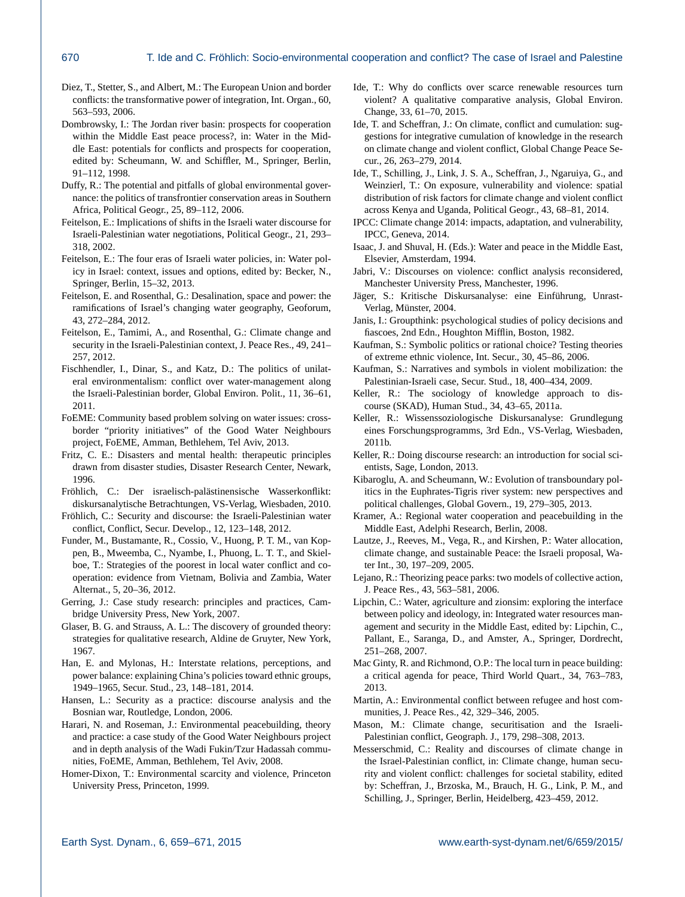- Diez, T., Stetter, S., and Albert, M.: The European Union and border conflicts: the transformative power of integration, Int. Organ., 60, 563–593, 2006.
- Dombrowsky, I.: The Jordan river basin: prospects for cooperation within the Middle East peace process?, in: Water in the Middle East: potentials for conflicts and prospects for cooperation, edited by: Scheumann, W. and Schiffler, M., Springer, Berlin, 91–112, 1998.
- Duffy, R.: The potential and pitfalls of global environmental governance: the politics of transfrontier conservation areas in Southern Africa, Political Geogr., 25, 89–112, 2006.
- Feitelson, E.: Implications of shifts in the Israeli water discourse for Israeli-Palestinian water negotiations, Political Geogr., 21, 293– 318, 2002.
- Feitelson, E.: The four eras of Israeli water policies, in: Water policy in Israel: context, issues and options, edited by: Becker, N., Springer, Berlin, 15–32, 2013.
- Feitelson, E. and Rosenthal, G.: Desalination, space and power: the ramifications of Israel's changing water geography, Geoforum, 43, 272–284, 2012.
- Feitelson, E., Tamimi, A., and Rosenthal, G.: Climate change and security in the Israeli-Palestinian context, J. Peace Res., 49, 241– 257, 2012.
- Fischhendler, I., Dinar, S., and Katz, D.: The politics of unilateral environmentalism: conflict over water-management along the Israeli-Palestinian border, Global Environ. Polit., 11, 36–61, 2011.
- FoEME: Community based problem solving on water issues: crossborder "priority initiatives" of the Good Water Neighbours project, FoEME, Amman, Bethlehem, Tel Aviv, 2013.
- Fritz, C. E.: Disasters and mental health: therapeutic principles drawn from disaster studies, Disaster Research Center, Newark, 1996.
- Fröhlich, C.: Der israelisch-palästinensische Wasserkonflikt: diskursanalytische Betrachtungen, VS-Verlag, Wiesbaden, 2010.
- Fröhlich, C.: Security and discourse: the Israeli-Palestinian water conflict, Conflict, Secur. Develop., 12, 123–148, 2012.
- Funder, M., Bustamante, R., Cossio, V., Huong, P. T. M., van Koppen, B., Mweemba, C., Nyambe, I., Phuong, L. T. T., and Skielboe, T.: Strategies of the poorest in local water conflict and cooperation: evidence from Vietnam, Bolivia and Zambia, Water Alternat., 5, 20–36, 2012.
- Gerring, J.: Case study research: principles and practices, Cambridge University Press, New York, 2007.
- Glaser, B. G. and Strauss, A. L.: The discovery of grounded theory: strategies for qualitative research, Aldine de Gruyter, New York, 1967.
- Han, E. and Mylonas, H.: Interstate relations, perceptions, and power balance: explaining China's policies toward ethnic groups, 1949–1965, Secur. Stud., 23, 148–181, 2014.
- Hansen, L.: Security as a practice: discourse analysis and the Bosnian war, Routledge, London, 2006.
- Harari, N. and Roseman, J.: Environmental peacebuilding, theory and practice: a case study of the Good Water Neighbours project and in depth analysis of the Wadi Fukin/Tzur Hadassah communities, FoEME, Amman, Bethlehem, Tel Aviv, 2008.
- Homer-Dixon, T.: Environmental scarcity and violence, Princeton University Press, Princeton, 1999.
- Ide, T.: Why do conflicts over scarce renewable resources turn violent? A qualitative comparative analysis, Global Environ. Change, 33, 61–70, 2015.
- Ide, T. and Scheffran, J.: On climate, conflict and cumulation: suggestions for integrative cumulation of knowledge in the research on climate change and violent conflict, Global Change Peace Secur., 26, 263–279, 2014.
- Ide, T., Schilling, J., Link, J. S. A., Scheffran, J., Ngaruiya, G., and Weinzierl, T.: On exposure, vulnerability and violence: spatial distribution of risk factors for climate change and violent conflict across Kenya and Uganda, Political Geogr., 43, 68–81, 2014.
- IPCC: Climate change 2014: impacts, adaptation, and vulnerability, IPCC, Geneva, 2014.
- Isaac, J. and Shuval, H. (Eds.): Water and peace in the Middle East, Elsevier, Amsterdam, 1994.
- Jabri, V.: Discourses on violence: conflict analysis reconsidered, Manchester University Press, Manchester, 1996.
- Jäger, S.: Kritische Diskursanalyse: eine Einführung, Unrast-Verlag, Münster, 2004.
- Janis, I.: Groupthink: psychological studies of policy decisions and fiascoes, 2nd Edn., Houghton Mifflin, Boston, 1982.
- Kaufman, S.: Symbolic politics or rational choice? Testing theories of extreme ethnic violence, Int. Secur., 30, 45–86, 2006.
- Kaufman, S.: Narratives and symbols in violent mobilization: the Palestinian-Israeli case, Secur. Stud., 18, 400–434, 2009.
- Keller, R.: The sociology of knowledge approach to discourse (SKAD), Human Stud., 34, 43–65, 2011a.
- Keller, R.: Wissenssoziologische Diskursanalyse: Grundlegung eines Forschungsprogramms, 3rd Edn., VS-Verlag, Wiesbaden, 2011b.
- Keller, R.: Doing discourse research: an introduction for social scientists, Sage, London, 2013.
- Kibaroglu, A. and Scheumann, W.: Evolution of transboundary politics in the Euphrates-Tigris river system: new perspectives and political challenges, Global Govern., 19, 279–305, 2013.
- Kramer, A.: Regional water cooperation and peacebuilding in the Middle East, Adelphi Research, Berlin, 2008.
- Lautze, J., Reeves, M., Vega, R., and Kirshen, P.: Water allocation, climate change, and sustainable Peace: the Israeli proposal, Water Int., 30, 197–209, 2005.
- Lejano, R.: Theorizing peace parks: two models of collective action, J. Peace Res., 43, 563–581, 2006.
- Lipchin, C.: Water, agriculture and zionsim: exploring the interface between policy and ideology, in: Integrated water resources management and security in the Middle East, edited by: Lipchin, C., Pallant, E., Saranga, D., and Amster, A., Springer, Dordrecht, 251–268, 2007.
- Mac Ginty, R. and Richmond, O.P.: The local turn in peace building: a critical agenda for peace, Third World Quart., 34, 763–783, 2013.
- Martin, A.: Environmental conflict between refugee and host communities, J. Peace Res., 42, 329–346, 2005.
- Mason, M.: Climate change, securitisation and the Israeli-Palestinian conflict, Geograph. J., 179, 298–308, 2013.
- Messerschmid, C.: Reality and discourses of climate change in the Israel-Palestinian conflict, in: Climate change, human security and violent conflict: challenges for societal stability, edited by: Scheffran, J., Brzoska, M., Brauch, H. G., Link, P. M., and Schilling, J., Springer, Berlin, Heidelberg, 423–459, 2012.